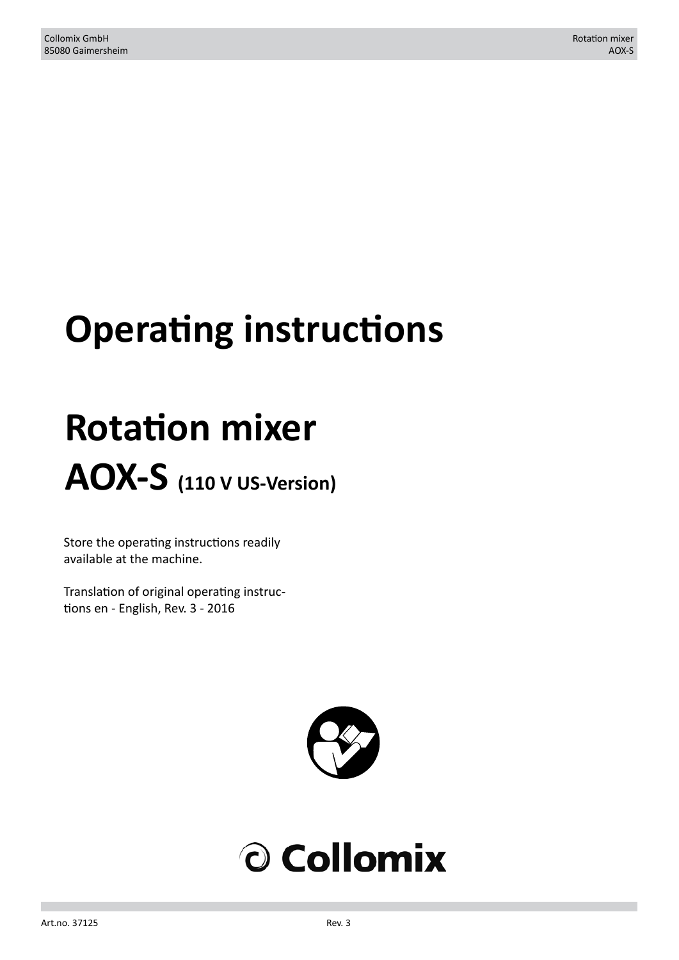# **Operating instructions**

# **Rotation mixer AOX-S (110 V US-Version)**

Store the operating instructions readily available at the machine.

Translation of original operating instructions en - English, Rev. 3 - 2016



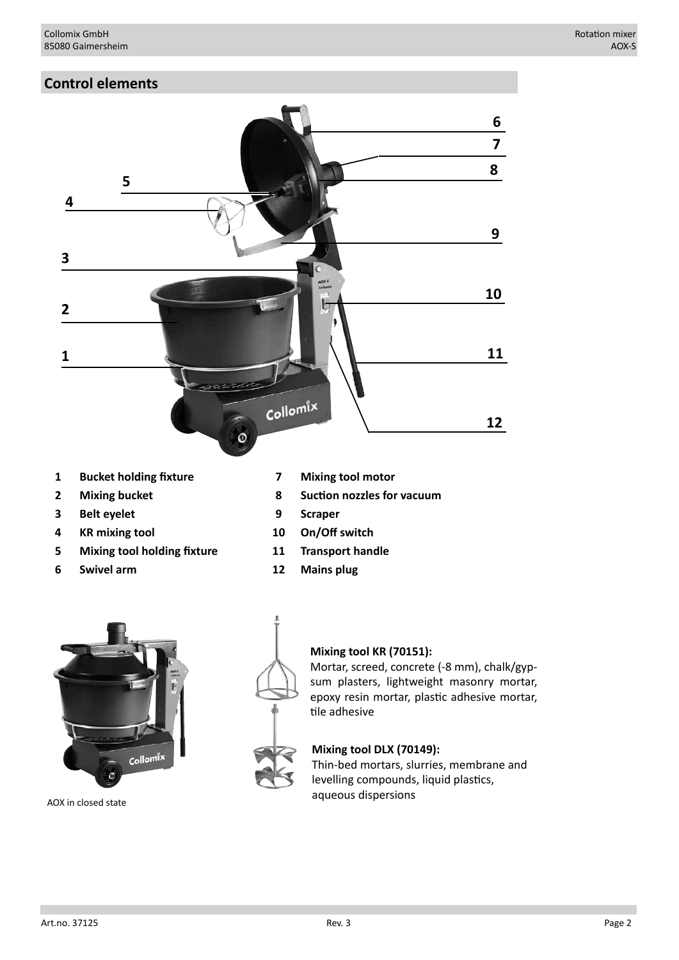# **Control elements**



- **1 Bucket holding fixture 7 Mixing tool motor**
- 
- **3 Belt eyelet 9 Scraper**
- **4 KR mixing tool 10 On/Off switch**
- **5 Mixing tool holding fixture 11 Transport handle**
- **6 Swivel arm 12 Mains plug**
- 
- **2 Mixing bucket 8 Suction nozzles for vacuum**
	-
	-
	-
	-



AOX in closed state



#### **Mixing tool KR (70151):**

Mortar, screed, concrete (-8 mm), chalk/gypsum plasters, lightweight masonry mortar, epoxy resin mortar, plastic adhesive mortar, tile adhesive

#### **Mixing tool DLX (70149):**

Thin-bed mortars, slurries, membrane and levelling compounds, liquid plastics, aqueous dispersions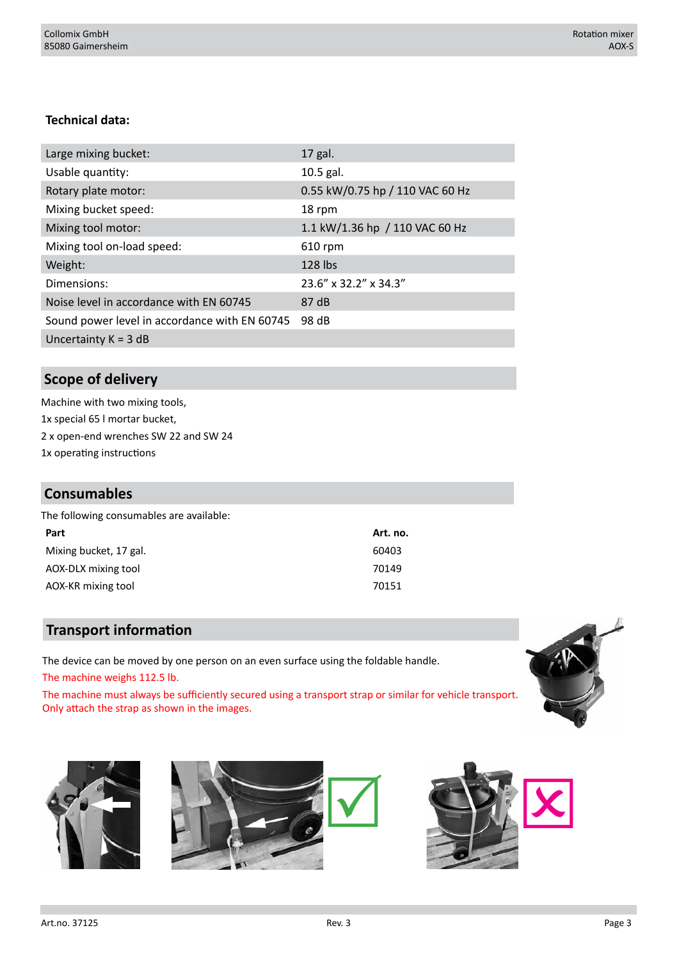# **Technical data:**

| Large mixing bucket:                          | 17 gal.                         |
|-----------------------------------------------|---------------------------------|
| Usable quantity:                              | 10.5 gal.                       |
| Rotary plate motor:                           | 0.55 kW/0.75 hp / 110 VAC 60 Hz |
| Mixing bucket speed:                          | 18 rpm                          |
| Mixing tool motor:                            | 1.1 kW/1.36 hp / 110 VAC 60 Hz  |
| Mixing tool on-load speed:                    | 610 rpm                         |
| Weight:                                       | 128 lbs                         |
| Dimensions:                                   | 23.6" x 32.2" x 34.3"           |
| Noise level in accordance with EN 60745       | 87 dB                           |
| Sound power level in accordance with EN 60745 | 98 dB                           |
| Uncertainty $K = 3$ dB                        |                                 |

# **Scope of delivery**

Machine with two mixing tools, 1x special 65 l mortar bucket, 2 x open-end wrenches SW 22 and SW 24 1x operating instructions

# **Consumables**

| Part                   | Art. no. |
|------------------------|----------|
| Mixing bucket, 17 gal. | 60403    |
| AOX-DLX mixing tool    | 70149    |
| AOX-KR mixing tool     | 70151    |
|                        |          |

# **Transport information**

The device can be moved by one person on an even surface using the foldable handle. The machine weighs 112.5 lb.

The machine must always be sufficiently secured using a transport strap or similar for vehicle transport. Only attach the strap as shown in the images.





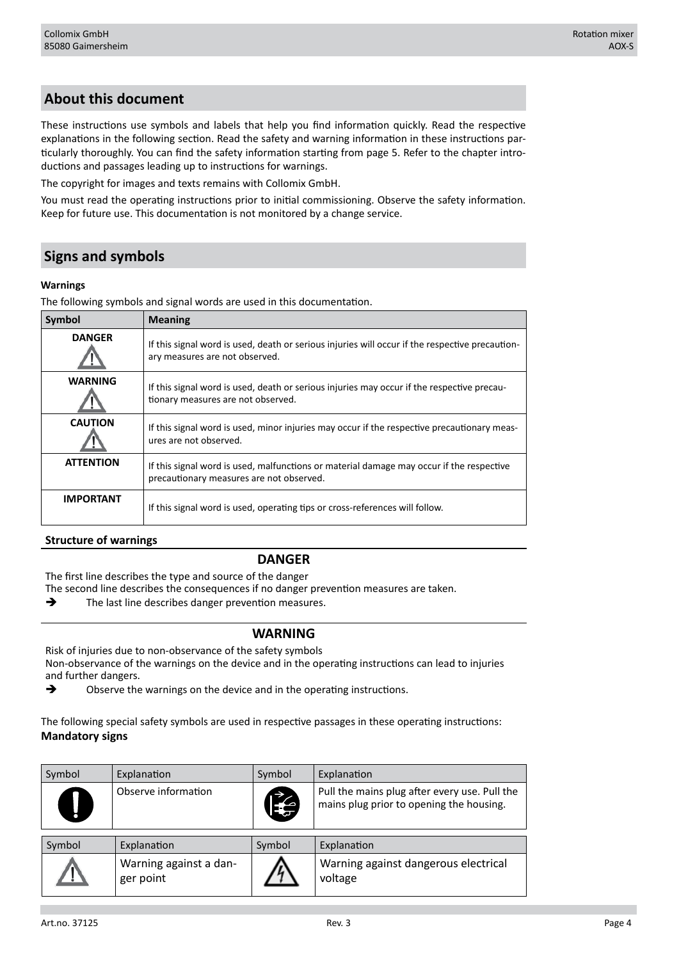# **About this document**

These instructions use symbols and labels that help you find information quickly. Read the respective explanations in the following section. Read the safety and warning information in these instructions particularly thoroughly. You can find the safety information starting from page 5. Refer to the chapter introductions and passages leading up to instructions for warnings.

The copyright for images and texts remains with Collomix GmbH.

You must read the operating instructions prior to initial commissioning. Observe the safety information. Keep for future use. This documentation is not monitored by a change service.

# **Signs and symbols**

#### **Warnings**

The following symbols and signal words are used in this documentation.

| Symbol           | <b>Meaning</b>                                                                                                                       |
|------------------|--------------------------------------------------------------------------------------------------------------------------------------|
| <b>DANGER</b>    | If this signal word is used, death or serious injuries will occur if the respective precaution-<br>ary measures are not observed.    |
| <b>WARNING</b>   | If this signal word is used, death or serious injuries may occur if the respective precau-<br>tionary measures are not observed.     |
| <b>CAUTION</b>   | If this signal word is used, minor injuries may occur if the respective precautionary meas-<br>ures are not observed.                |
| <b>ATTENTION</b> | If this signal word is used, malfunctions or material damage may occur if the respective<br>precautionary measures are not observed. |
| <b>IMPORTANT</b> | If this signal word is used, operating tips or cross-references will follow.                                                         |

#### **Structure of warnings**

#### **DANGER**

The first line describes the type and source of the danger

The second line describes the consequences if no danger prevention measures are taken.

 $\rightarrow$  The last line describes danger prevention measures.

#### **WARNING**

Risk of injuries due to non-observance of the safety symbols Non-observance of the warnings on the device and in the operating instructions can lead to injuries and further dangers.

 $\rightarrow$  Observe the warnings on the device and in the operating instructions.

The following special safety symbols are used in respective passages in these operating instructions: **Mandatory signs**

| Symbol    | Explanation                         | Symbol    | Explanation                                                                               |
|-----------|-------------------------------------|-----------|-------------------------------------------------------------------------------------------|
| $\bigcup$ | Observe information                 | <b>IX</b> | Pull the mains plug after every use. Pull the<br>mains plug prior to opening the housing. |
| Symbol    | Explanation                         | Symbol    | Explanation                                                                               |
|           | Warning against a dan-<br>ger point |           | Warning against dangerous electrical<br>voltage                                           |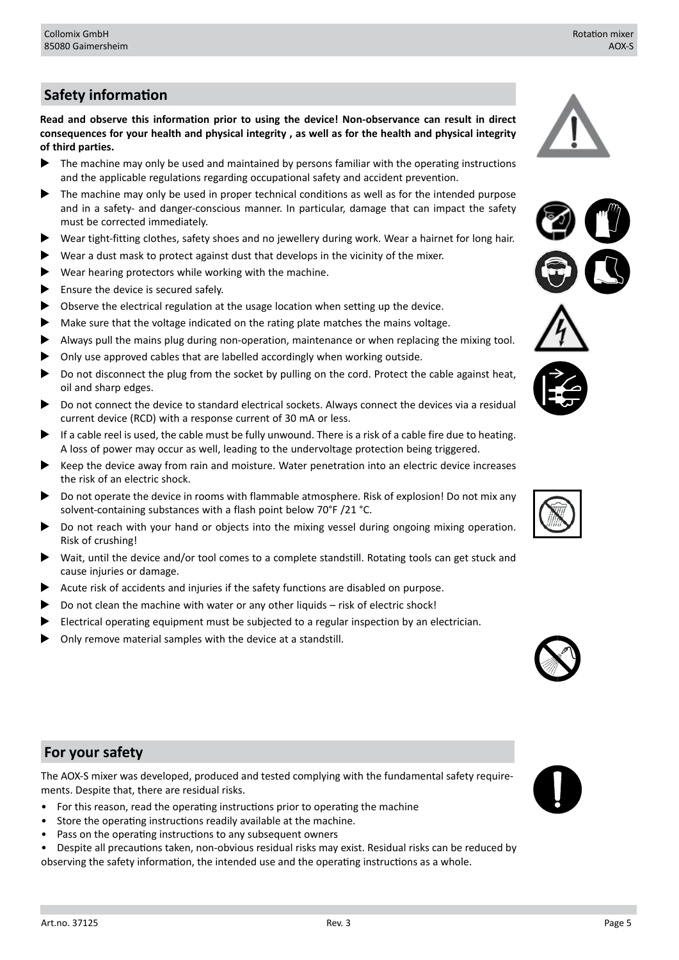# **Safety information**

**Read and observe this information prior to using the device! Non-observance can result in direct consequences for your health and physical integrity , as well as for the health and physical integrity of third parties.**

- The machine may only be used and maintained by persons familiar with the operating instructions and the applicable regulations regarding occupational safety and accident prevention.
- The machine may only be used in proper technical conditions as well as for the intended purpose and in a safety- and danger-conscious manner. In particular, damage that can impact the safety must be corrected immediately.
- X Wear tight-fitting clothes, safety shoes and no jewellery during work. Wear a hairnet for long hair.
- Wear a dust mask to protect against dust that develops in the vicinity of the mixer.
- Wear hearing protectors while working with the machine.
- $\blacktriangleright$  Ensure the device is secured safely.
- Observe the electrical regulation at the usage location when setting up the device.
- Make sure that the voltage indicated on the rating plate matches the mains voltage.
- Always pull the mains plug during non-operation, maintenance or when replacing the mixing tool.
- Only use approved cables that are labelled accordingly when working outside.
- Do not disconnect the plug from the socket by pulling on the cord. Protect the cable against heat, oil and sharp edges.
- Do not connect the device to standard electrical sockets. Always connect the devices via a residual current device (RCD) with a response current of 30 mA or less.
- If a cable reel is used, the cable must be fully unwound. There is a risk of a cable fire due to heating. A loss of power may occur as well, leading to the undervoltage protection being triggered.
- $\blacktriangleright$  Keep the device away from rain and moisture. Water penetration into an electric device increases the risk of an electric shock.
- Do not operate the device in rooms with flammable atmosphere. Risk of explosion! Do not mix any solvent-containing substances with a flash point below 70°F /21 °C.
- Do not reach with your hand or objects into the mixing vessel during ongoing mixing operation. Risk of crushing!
- Wait, until the device and/or tool comes to a complete standstill. Rotating tools can get stuck and cause injuries or damage.
- Acute risk of accidents and injuries if the safety functions are disabled on purpose.
- Do not clean the machine with water or any other liquids risk of electric shock!
- Electrical operating equipment must be subjected to a regular inspection by an electrician.
- Only remove material samples with the device at a standstill.







# **For your safety**

The AOX-S mixer was developed, produced and tested complying with the fundamental safety requirements. Despite that, there are residual risks.

- For this reason, read the operating instructions prior to operating the machine
- Store the operating instructions readily available at the machine.
- Pass on the operating instructions to any subsequent owners
- Despite all precautions taken, non-obvious residual risks may exist. Residual risks can be reduced by observing the safety information, the intended use and the operating instructions as a whole.

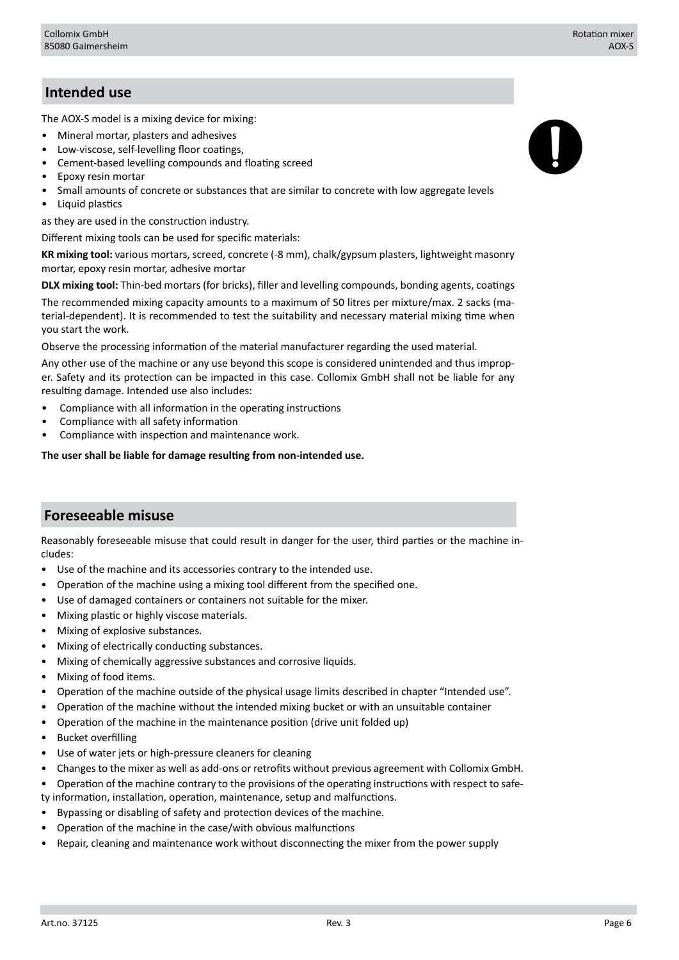# **Intended use**

The AOX-S model is a mixing device for mixing:

- Mineral mortar, plasters and adhesives
- Low-viscose, self-levelling floor coatings,
- Cement-based levelling compounds and floating screed
- Epoxy resin mortar
- Small amounts of concrete or substances that are similar to concrete with low aggregate levels
- Liquid plastics

as they are used in the construction industry.

Different mixing tools can be used for specific materials:

**KR mixing tool:** various mortars, screed, concrete (-8 mm), chalk/gypsum plasters, lightweight masonry mortar, epoxy resin mortar, adhesive mortar

**DLX mixing tool:** Thin-bed mortars (for bricks), filler and levelling compounds, bonding agents, coatings

The recommended mixing capacity amounts to a maximum of 50 litres per mixture/max. 2 sacks (material-dependent). It is recommended to test the suitability and necessary material mixing time when you start the work.

Observe the processing information of the material manufacturer regarding the used material.

Any other use of the machine or any use beyond this scope is considered unintended and thus improper. Safety and its protection can be impacted in this case. Collomix GmbH shall not be liable for any resulting damage. Intended use also includes:

- Compliance with all information in the operating instructions
- Compliance with all safety information
- Compliance with inspection and maintenance work.

**The user shall be liable for damage resulting from non-intended use.**

## **Foreseeable misuse**

Reasonably foreseeable misuse that could result in danger for the user, third parties or the machine includes:

- Use of the machine and its accessories contrary to the intended use.
- Operation of the machine using a mixing tool different from the specified one.
- Use of damaged containers or containers not suitable for the mixer.
- Mixing plastic or highly viscose materials.
- Mixing of explosive substances.
- Mixing of electrically conducting substances.
- Mixing of chemically aggressive substances and corrosive liquids.
- Mixing of food items.
- Operation of the machine outside of the physical usage limits described in chapter "Intended use".
- Operation of the machine without the intended mixing bucket or with an unsuitable container
- Operation of the machine in the maintenance position (drive unit folded up)
- Bucket overfilling
- Use of water jets or high-pressure cleaners for cleaning
- Changes to the mixer as well as add-ons or retrofits without previous agreement with Collomix GmbH.
- Operation of the machine contrary to the provisions of the operating instructions with respect to safety information, installation, operation, maintenance, setup and malfunctions.
- Bypassing or disabling of safety and protection devices of the machine.
- Operation of the machine in the case/with obvious malfunctions
- Repair, cleaning and maintenance work without disconnecting the mixer from the power supply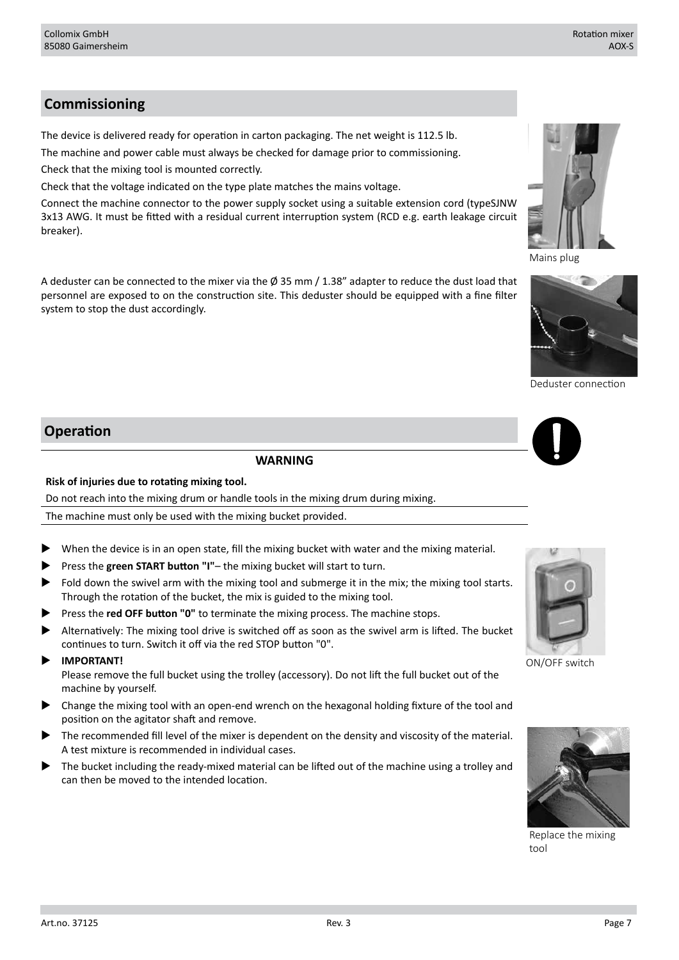# **Commissioning**

The device is delivered ready for operation in carton packaging. The net weight is 112.5 lb.

The machine and power cable must always be checked for damage prior to commissioning.

Check that the mixing tool is mounted correctly.

Check that the voltage indicated on the type plate matches the mains voltage.

Connect the machine connector to the power supply socket using a suitable extension cord (typeSJNW 3x13 AWG. It must be fitted with a residual current interruption system (RCD e.g. earth leakage circuit breaker).

A deduster can be connected to the mixer via the  $\emptyset$  35 mm / 1.38" adapter to reduce the dust load that personnel are exposed to on the construction site. This deduster should be equipped with a fine filter system to stop the dust accordingly.

# **Operation**

#### **WARNING**

### **Risk of injuries due to rotating mixing tool.**

Do not reach into the mixing drum or handle tools in the mixing drum during mixing.

The machine must only be used with the mixing bucket provided.

- When the device is in an open state, fill the mixing bucket with water and the mixing material.
- Press the green START button "I"- the mixing bucket will start to turn.
- Fold down the swivel arm with the mixing tool and submerge it in the mix; the mixing tool starts. Through the rotation of the bucket, the mix is guided to the mixing tool.
- Press the **red OFF button "0"** to terminate the mixing process. The machine stops.
- Alternatively: The mixing tool drive is switched off as soon as the swivel arm is lifted. The bucket continues to turn. Switch it off via the red STOP button "0".
- **IMPORTANT!**

Please remove the full bucket using the trolley (accessory). Do not lift the full bucket out of the machine by yourself.

- Change the mixing tool with an open-end wrench on the hexagonal holding fixture of the tool and position on the agitator shaft and remove.
- The recommended fill level of the mixer is dependent on the density and viscosity of the material. A test mixture is recommended in individual cases.
- The bucket including the ready-mixed material can be lifted out of the machine using a trolley and can then be moved to the intended location.





Mains plug

Deduster connection



ON/OFF switch



Replace the mixing tool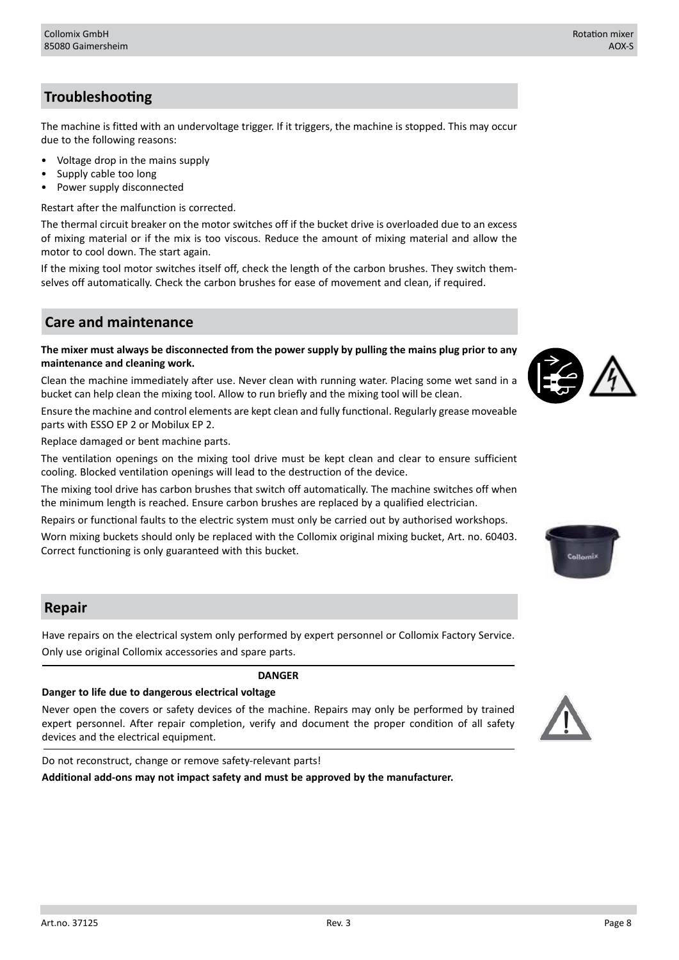# **Troubleshooting**

The machine is fitted with an undervoltage trigger. If it triggers, the machine is stopped. This may occur due to the following reasons:

- Voltage drop in the mains supply
- Supply cable too long
- Power supply disconnected

Restart after the malfunction is corrected.

The thermal circuit breaker on the motor switches off if the bucket drive is overloaded due to an excess of mixing material or if the mix is too viscous. Reduce the amount of mixing material and allow the motor to cool down. The start again.

If the mixing tool motor switches itself off, check the length of the carbon brushes. They switch themselves off automatically. Check the carbon brushes for ease of movement and clean, if required.

# **Care and maintenance**

**The mixer must always be disconnected from the power supply by pulling the mains plug prior to any maintenance and cleaning work.**

Clean the machine immediately after use. Never clean with running water. Placing some wet sand in a bucket can help clean the mixing tool. Allow to run briefly and the mixing tool will be clean.

Ensure the machine and control elements are kept clean and fully functional. Regularly grease moveable parts with ESSO EP 2 or Mobilux EP 2.

Replace damaged or bent machine parts.

The ventilation openings on the mixing tool drive must be kept clean and clear to ensure sufficient cooling. Blocked ventilation openings will lead to the destruction of the device.

The mixing tool drive has carbon brushes that switch off automatically. The machine switches off when the minimum length is reached. Ensure carbon brushes are replaced by a qualified electrician.

Repairs or functional faults to the electric system must only be carried out by authorised workshops.

Worn mixing buckets should only be replaced with the Collomix original mixing bucket, Art. no. 60403. Correct functioning is only guaranteed with this bucket.

## **Repair**

Have repairs on the electrical system only performed by expert personnel or Collomix Factory Service. Only use original Collomix accessories and spare parts.

**DANGER**

# **Danger to life due to dangerous electrical voltage**

Never open the covers or safety devices of the machine. Repairs may only be performed by trained expert personnel. After repair completion, verify and document the proper condition of all safety devices and the electrical equipment.

Do not reconstruct, change or remove safety-relevant parts!

**Additional add-ons may not impact safety and must be approved by the manufacturer.**





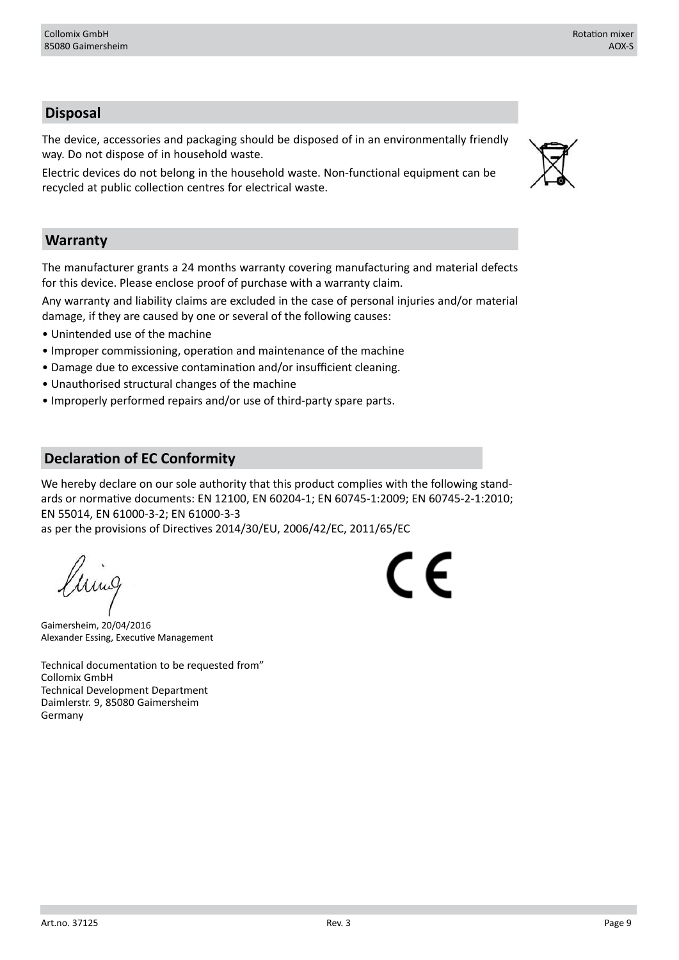# **Disposal**

The device, accessories and packaging should be disposed of in an environmentally friendly way. Do not dispose of in household waste.

Electric devices do not belong in the household waste. Non-functional equipment can be recycled at public collection centres for electrical waste.

## **Warranty**

The manufacturer grants a 24 months warranty covering manufacturing and material defects for this device. Please enclose proof of purchase with a warranty claim.

Any warranty and liability claims are excluded in the case of personal injuries and/or material damage, if they are caused by one or several of the following causes:

- Unintended use of the machine
- Improper commissioning, operation and maintenance of the machine
- Damage due to excessive contamination and/or insufficient cleaning.
- Unauthorised structural changes of the machine
- Improperly performed repairs and/or use of third-party spare parts.

# **Declaration of EC Conformity**

We hereby declare on our sole authority that this product complies with the following standards or normative documents: EN 12100, EN 60204-1; EN 60745-1:2009; EN 60745-2-1:2010; EN 55014, EN 61000-3-2; EN 61000-3-3

as per the provisions of Directives 2014/30/EU, 2006/42/EC, 2011/65/EC

Gaimersheim, 20/04/2016 Alexander Essing, Executive Management

Technical documentation to be requested from" Collomix GmbH Technical Development Department Daimlerstr. 9, 85080 Gaimersheim Germany